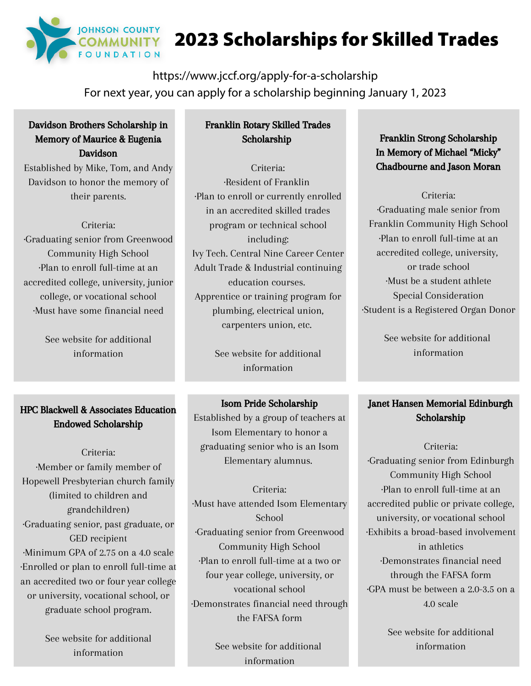

# 2023 Scholarships for Skilled Trades

https://www.jccf.org/apply-for-a-scholarship For next year, you can apply for a scholarship beginning January 1, 2023

## Davidson Brothers Scholarship in Memory of Maurice & Eugenia Davidson

Established by Mike, Tom, and Andy Davidson to honor the memory of their parents.

#### Criteria:

·Graduating senior from Greenwood Community High School ·Plan to enroll full-time at an accredited college, university, junior college, or vocational school ·Must have some financial need

> See website for additional information

# HPC Blackwell & Associates Education Endowed Scholarship

Criteria: ·Member or family member of Hopewell Presbyterian church family (limited to children and grandchildren) ·Graduating senior, past graduate, or GED recipient ·Minimum GPA of 2.75 on a 4.0 scale ·Enrolled or plan to enroll full-time at an accredited two or four year college or university, vocational school, or graduate school program.

> See website for additional information

# Franklin Rotary Skilled Trades Scholarship

Criteria: ·Resident of Franklin ·Plan to enroll or currently enrolled in an accredited skilled trades program or technical school including: Ivy Tech. Central Nine Career Center Adult Trade & Industrial continuing education courses. Apprentice or training program for plumbing, electrical union, carpenters union, etc.

> See website for additional information

## Isom Pride Scholarship

Established by a group of teachers at Isom Elementary to honor a graduating senior who is an Isom Elementary alumnus.

Criteria: ·Must have attended Isom Elementary School ·Graduating senior from Greenwood Community High School ·Plan to enroll full-time at a two or four year college, university, or vocational school ·Demonstrates financial need through the FAFSA form

> See website for additional information

Franklin Strong Scholarship In Memory of Michael "Micky" Chadbourne and Jason Moran

Criteria: ·Graduating male senior from Franklin Community High School ·Plan to enroll full-time at an accredited college, university, or trade school ·Must be a student athlete Special Consideration ·Student is a Registered Organ Donor

> See website for additional information

# Janet Hansen Memorial Edinburgh Scholarship

Criteria: ·Graduating senior from Edinburgh Community High School ·Plan to enroll full-time at an accredited public or private college, university, or vocational school ·Exhibits a broad-based involvement in athletics ·Demonstrates financial need through the FAFSA form ·GPA must be between a 2.0-3.5 on a 4.0 scale

> See website for additional information